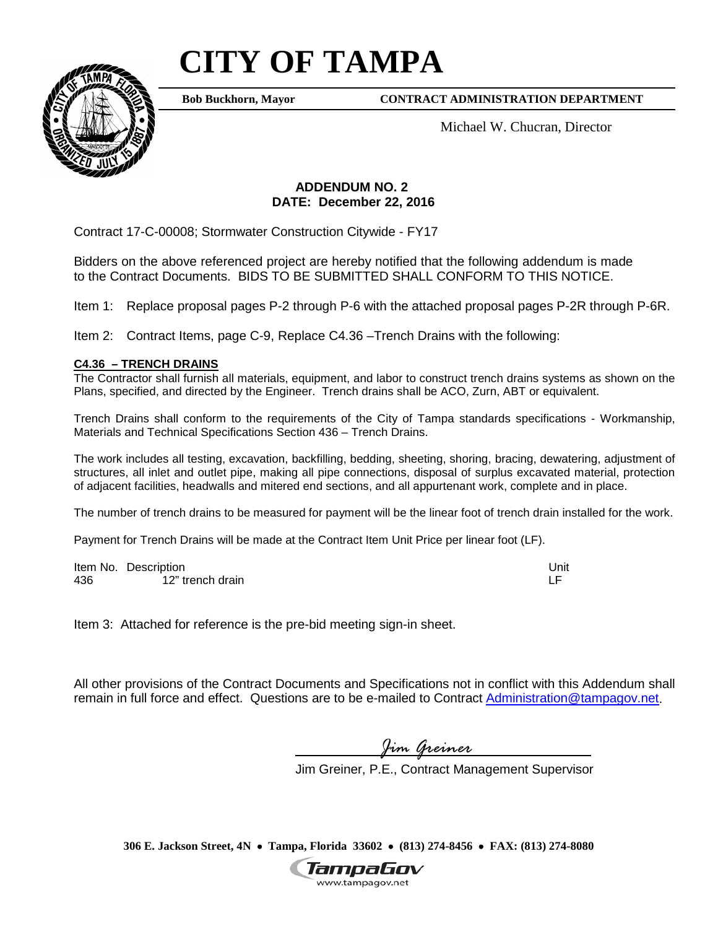## **CITY OF TAMPA**



**Bob Buckhorn, Mayor**

**CONTRACT ADMINISTRATION DEPARTMENT**

Michael W. Chucran, Director

## **ADDENDUM NO. 2 DATE: December 22, 2016**

Contract 17-C-00008; Stormwater Construction Citywide - FY17

Bidders on the above referenced project are hereby notified that the following addendum is made to the Contract Documents. BIDS TO BE SUBMITTED SHALL CONFORM TO THIS NOTICE.

Item 1: Replace proposal pages P-2 through P-6 with the attached proposal pages P-2R through P-6R.

Item 2: Contract Items, page C-9, Replace C4.36 –Trench Drains with the following:

## **C4.36 – TRENCH DRAINS**

The Contractor shall furnish all materials, equipment, and labor to construct trench drains systems as shown on the Plans, specified, and directed by the Engineer. Trench drains shall be ACO, Zurn, ABT or equivalent.

Trench Drains shall conform to the requirements of the City of Tampa standards specifications - Workmanship, Materials and Technical Specifications Section 436 – Trench Drains.

The work includes all testing, excavation, backfilling, bedding, sheeting, shoring, bracing, dewatering, adjustment of structures, all inlet and outlet pipe, making all pipe connections, disposal of surplus excavated material, protection of adjacent facilities, headwalls and mitered end sections, and all appurtenant work, complete and in place.

The number of trench drains to be measured for payment will be the linear foot of trench drain installed for the work.

Payment for Trench Drains will be made at the Contract Item Unit Price per linear foot (LF).

Item No. Description Unit 436 12" trench drain

Item 3: Attached for reference is the pre-bid meeting sign-in sheet.

All other provisions of the Contract Documents and Specifications not in conflict with this Addendum shall remain in full force and effect. Questions are to be e-mailed to Contract [Administration@tampagov.net.](mailto:Administration@tampagov.net)

*Jim Greiner*

Jim Greiner, P.E., Contract Management Supervisor

**306 E. Jackson Street, 4N** • **Tampa, Florida 33602** • **(813) 274-8456** • **FAX: (813) 274-8080**

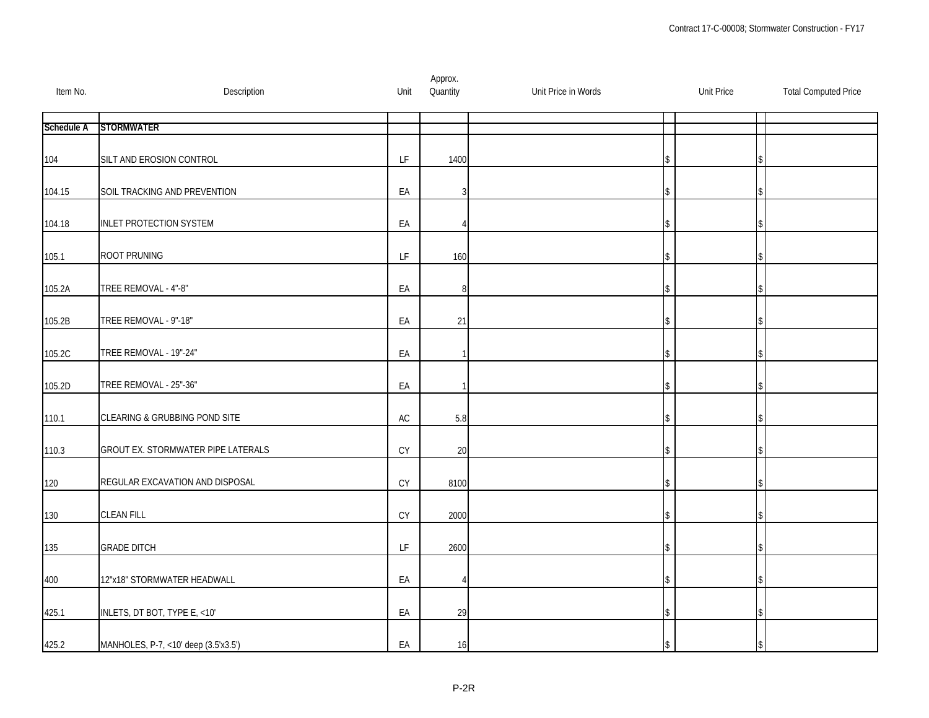| Item No.          | Description                          | Unit                                                                                        | Approx.<br>Quantity | Unit Price in Words | <b>Unit Price</b> | <b>Total Computed Price</b> |
|-------------------|--------------------------------------|---------------------------------------------------------------------------------------------|---------------------|---------------------|-------------------|-----------------------------|
| <b>Schedule A</b> | <b>STORMWATER</b>                    |                                                                                             |                     |                     |                   |                             |
| 104               | SILT AND EROSION CONTROL             | $\mathsf{LF}% _{0}\left( \mathcal{N}\right) \equiv\mathsf{LF}_{0}\left( \mathcal{N}\right)$ | 1400                |                     |                   |                             |
| 104.15            | SOIL TRACKING AND PREVENTION         | EA                                                                                          | 3                   |                     |                   |                             |
| 104.18            | <b>INLET PROTECTION SYSTEM</b>       | EA                                                                                          | 4                   |                     |                   |                             |
| 105.1             | ROOT PRUNING                         | LF                                                                                          | 160                 |                     |                   |                             |
| 105.2A            | TREE REMOVAL - 4"-8"                 | EA                                                                                          | 8                   |                     |                   |                             |
| 105.2B            | TREE REMOVAL - 9"-18"                | EA                                                                                          | 21                  |                     |                   |                             |
| 105.2C            | TREE REMOVAL - 19"-24"               | EA                                                                                          |                     |                     |                   |                             |
| 105.2D            | TREE REMOVAL - 25"-36"               | EA                                                                                          |                     |                     |                   |                             |
| 110.1             | CLEARING & GRUBBING POND SITE        | AC                                                                                          | 5.8                 |                     |                   |                             |
| 110.3             | GROUT EX. STORMWATER PIPE LATERALS   | CY                                                                                          | 20                  |                     |                   |                             |
| 120               | REGULAR EXCAVATION AND DISPOSAL      | CY                                                                                          | 8100                |                     |                   |                             |
| 130               | <b>CLEAN FILL</b>                    | CY                                                                                          | 2000                |                     |                   |                             |
| 135               | <b>GRADE DITCH</b>                   | LF                                                                                          | 2600                |                     |                   |                             |
| 400               | 12"x18" STORMWATER HEADWALL          | EA                                                                                          | 4                   |                     |                   |                             |
| 425.1             | INLETS, DT BOT, TYPE E, <10'         | EA                                                                                          | 29                  |                     |                   |                             |
| 425.2             | MANHOLES, P-7, <10' deep (3.5'x3.5') | EA                                                                                          | 16                  |                     |                   |                             |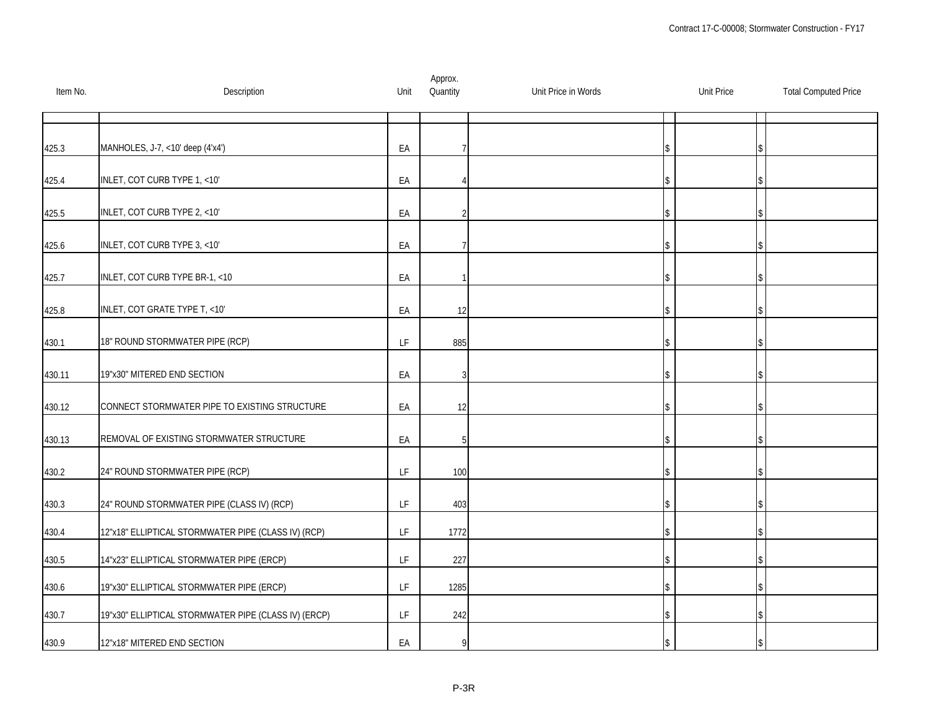| Item No. | Description                                          | Unit | Approx.<br>Quantity | Unit Price in Words | <b>Unit Price</b> | <b>Total Computed Price</b> |
|----------|------------------------------------------------------|------|---------------------|---------------------|-------------------|-----------------------------|
|          |                                                      |      |                     |                     |                   |                             |
| 425.3    | MANHOLES, J-7, <10' deep (4'x4')                     | EA   |                     |                     |                   |                             |
| 425.4    | INLET, COT CURB TYPE 1, <10'                         | EA   |                     |                     |                   |                             |
| 425.5    | INLET, COT CURB TYPE 2, <10'                         | EA   | 2                   |                     |                   |                             |
| 425.6    | INLET, COT CURB TYPE 3, <10'                         | EA   |                     |                     |                   |                             |
| 425.7    | INLET, COT CURB TYPE BR-1, <10                       | EA   |                     |                     |                   |                             |
| 425.8    | INLET, COT GRATE TYPE T, <10'                        | EA   | 12                  |                     |                   |                             |
| 430.1    | 18" ROUND STORMWATER PIPE (RCP)                      | LF   | 885                 |                     |                   |                             |
| 430.11   | 19"x30" MITERED END SECTION                          | EA   | 3                   |                     |                   |                             |
| 430.12   | CONNECT STORMWATER PIPE TO EXISTING STRUCTURE        | EA   | 12                  |                     |                   |                             |
| 430.13   | REMOVAL OF EXISTING STORMWATER STRUCTURE             | EA   | 5                   |                     |                   |                             |
| 430.2    | 24" ROUND STORMWATER PIPE (RCP)                      | LF   | 100                 |                     |                   |                             |
| 430.3    | 24" ROUND STORMWATER PIPE (CLASS IV) (RCP)           | LF   | 403                 |                     |                   |                             |
| 430.4    | 12"x18" ELLIPTICAL STORMWATER PIPE (CLASS IV) (RCP)  | LF   | 1772                |                     |                   |                             |
| 430.5    | 14"x23" ELLIPTICAL STORMWATER PIPE (ERCP)            | LF   | 227                 |                     |                   |                             |
| 430.6    | 19"x30" ELLIPTICAL STORMWATER PIPE (ERCP)            | LF.  | 1285                |                     |                   |                             |
| 430.7    | 19"x30" ELLIPTICAL STORMWATER PIPE (CLASS IV) (ERCP) | LF   | 242                 |                     |                   |                             |
| 430.9    | 12"x18" MITERED END SECTION                          | EA   | 9                   |                     |                   |                             |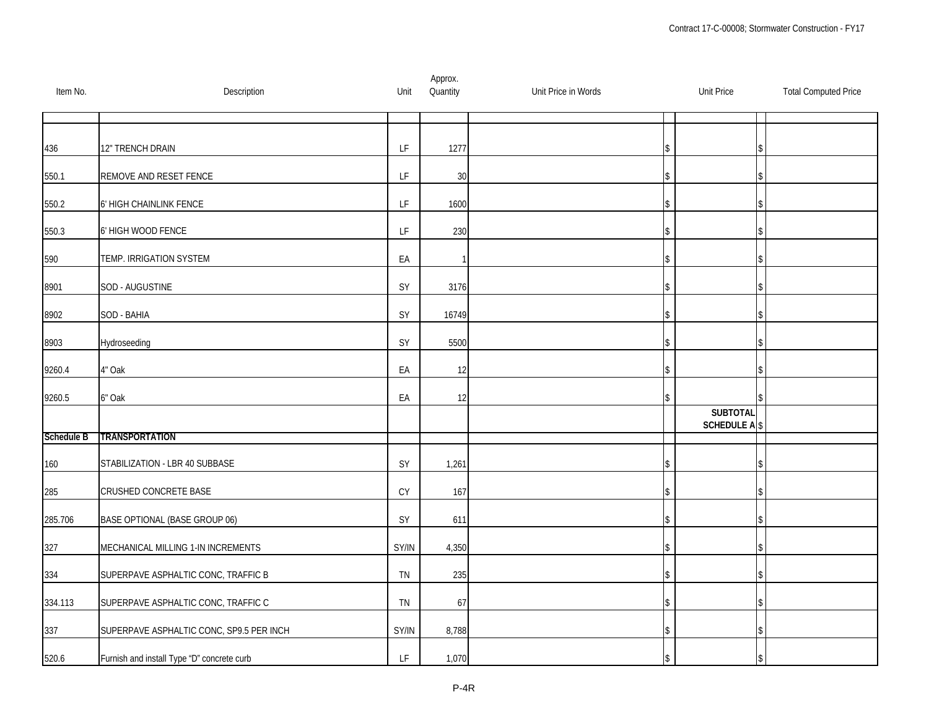| Item No.   | Description                                | Unit                                                                                        | Approx.<br>Quantity | Unit Price in Words | <b>Unit Price</b>              | <b>Total Computed Price</b> |
|------------|--------------------------------------------|---------------------------------------------------------------------------------------------|---------------------|---------------------|--------------------------------|-----------------------------|
|            |                                            |                                                                                             |                     |                     |                                |                             |
| 436        | 12" TRENCH DRAIN                           | LF                                                                                          | 1277                |                     |                                |                             |
| 550.1      | REMOVE AND RESET FENCE                     | LF                                                                                          | 30                  |                     |                                |                             |
| 550.2      | 6' HIGH CHAINLINK FENCE                    | $\mathsf{LF}% _{0}\left( \mathcal{N}\right) \equiv\mathsf{LF}_{0}\left( \mathcal{N}\right)$ | 1600                |                     |                                |                             |
| 550.3      | 6' HIGH WOOD FENCE                         | LF                                                                                          | 230                 |                     |                                |                             |
| 590        | TEMP. IRRIGATION SYSTEM                    | EA                                                                                          |                     |                     |                                |                             |
| 8901       | SOD - AUGUSTINE                            | SY                                                                                          | 3176                |                     |                                |                             |
| 8902       | SOD - BAHIA                                | SY                                                                                          | 16749               |                     |                                |                             |
| 8903       | Hydroseeding                               | SY                                                                                          | 5500                |                     |                                |                             |
| 9260.4     | 4" Oak                                     | EA                                                                                          | 12                  |                     |                                |                             |
| 9260.5     | 6" Oak                                     | EA                                                                                          | 12                  |                     |                                |                             |
|            |                                            |                                                                                             |                     |                     | <b>SUBTOTAL</b><br>SCHEDULE AS |                             |
| Schedule B | <b>TRANSPORTATION</b>                      |                                                                                             |                     |                     |                                |                             |
| 160        | STABILIZATION - LBR 40 SUBBASE             | $SY$                                                                                        | 1,261               |                     |                                |                             |
| 285        | CRUSHED CONCRETE BASE                      | CY                                                                                          | 167                 |                     |                                |                             |
| 285.706    | BASE OPTIONAL (BASE GROUP 06)              | SY                                                                                          | 611                 |                     |                                |                             |
| 327        | MECHANICAL MILLING 1-IN INCREMENTS         | SY/IN                                                                                       | 4,350               |                     |                                |                             |
| 334        | SUPERPAVE ASPHALTIC CONC, TRAFFIC B        | TN                                                                                          | 235                 |                     |                                |                             |
| 334.113    | SUPERPAVE ASPHALTIC CONC, TRAFFIC C        | TN                                                                                          | 67                  |                     |                                |                             |
| 337        | SUPERPAVE ASPHALTIC CONC, SP9.5 PER INCH   | SY/IN                                                                                       | 8,788               |                     |                                |                             |
| 520.6      | Furnish and install Type "D" concrete curb | LF                                                                                          | 1,070               |                     |                                |                             |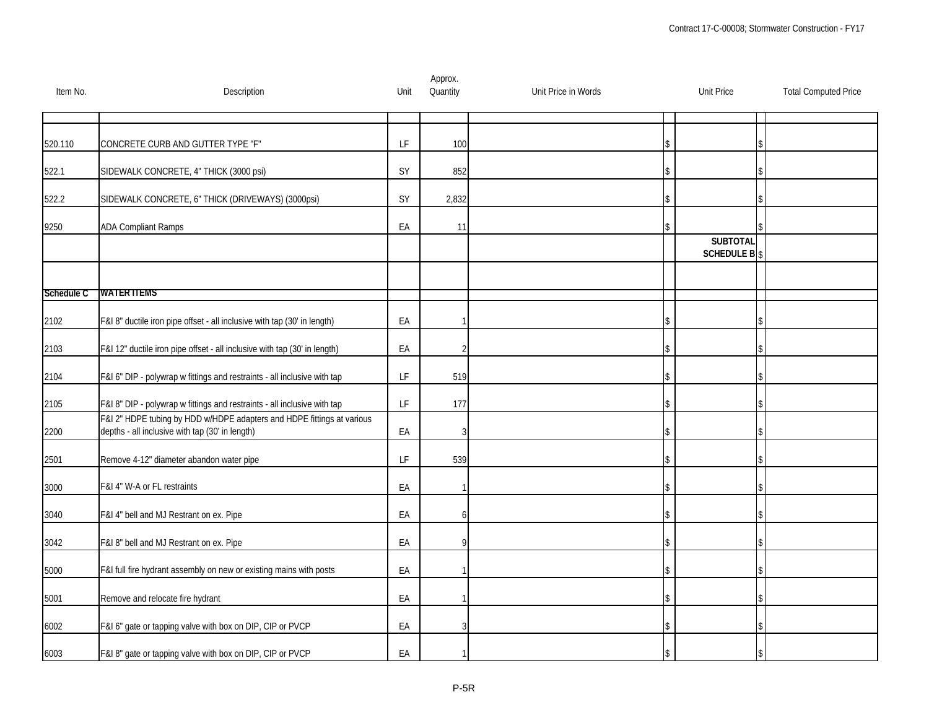| Item No.   | Description                                                                                                               | Unit                                                                                        | Approx.<br>Quantity | Unit Price in Words | <b>Unit Price</b>              | <b>Total Computed Price</b> |
|------------|---------------------------------------------------------------------------------------------------------------------------|---------------------------------------------------------------------------------------------|---------------------|---------------------|--------------------------------|-----------------------------|
|            |                                                                                                                           |                                                                                             |                     |                     |                                |                             |
| 520.110    | CONCRETE CURB AND GUTTER TYPE "F"                                                                                         | $\mathsf{LF}% _{0}\left( \mathcal{N}\right) \equiv\mathsf{LF}_{0}\left( \mathcal{N}\right)$ | 100                 |                     |                                |                             |
| 522.1      | SIDEWALK CONCRETE, 4" THICK (3000 psi)                                                                                    | SY                                                                                          | 852                 |                     |                                |                             |
| 522.2      | SIDEWALK CONCRETE, 6" THICK (DRIVEWAYS) (3000psi)                                                                         | SY                                                                                          | 2,832               |                     |                                |                             |
| 9250       | <b>ADA Compliant Ramps</b>                                                                                                | EA                                                                                          | 11                  |                     |                                |                             |
|            |                                                                                                                           |                                                                                             |                     |                     | <b>SUBTOTAL</b><br>SCHEDULE BS |                             |
|            |                                                                                                                           |                                                                                             |                     |                     |                                |                             |
| Schedule C | <b>WATERTIEMS</b>                                                                                                         |                                                                                             |                     |                     |                                |                             |
| 2102       | F&I 8" ductile iron pipe offset - all inclusive with tap (30' in length)                                                  | EA                                                                                          |                     |                     |                                |                             |
| 2103       | F&I 12" ductile iron pipe offset - all inclusive with tap (30' in length)                                                 | EA                                                                                          | 2                   |                     |                                |                             |
| 2104       | F&I 6" DIP - polywrap w fittings and restraints - all inclusive with tap                                                  | LF                                                                                          | 519                 |                     |                                |                             |
| 2105       | F&I 8" DIP - polywrap w fittings and restraints - all inclusive with tap                                                  | LF                                                                                          | 177                 |                     |                                |                             |
| 2200       | F&I 2" HDPE tubing by HDD w/HDPE adapters and HDPE fittings at various<br>depths - all inclusive with tap (30' in length) | EA                                                                                          | 3                   |                     |                                |                             |
| 2501       | Remove 4-12" diameter abandon water pipe                                                                                  | $\mathsf{LF}% _{0}\left( \mathcal{N}\right) \equiv\mathsf{LF}_{0}\left( \mathcal{N}\right)$ | 539                 |                     |                                |                             |
| 3000       | F&I 4" W-A or FL restraints                                                                                               | EA                                                                                          |                     |                     |                                |                             |
| 3040       | F&I 4" bell and MJ Restrant on ex. Pipe                                                                                   | EA                                                                                          | 6                   |                     |                                |                             |
| 3042       | F&I 8" bell and MJ Restrant on ex. Pipe                                                                                   | EA                                                                                          | Q                   |                     |                                |                             |
| 5000       | F&I full fire hydrant assembly on new or existing mains with posts                                                        | EA                                                                                          |                     |                     |                                |                             |
| 5001       | Remove and relocate fire hydrant                                                                                          | EA                                                                                          |                     |                     |                                |                             |
| 6002       | F&I 6" gate or tapping valve with box on DIP, CIP or PVCP                                                                 | EA                                                                                          | 3                   |                     |                                |                             |
| 6003       | F&I 8" gate or tapping valve with box on DIP, CIP or PVCP                                                                 | EA                                                                                          |                     |                     |                                |                             |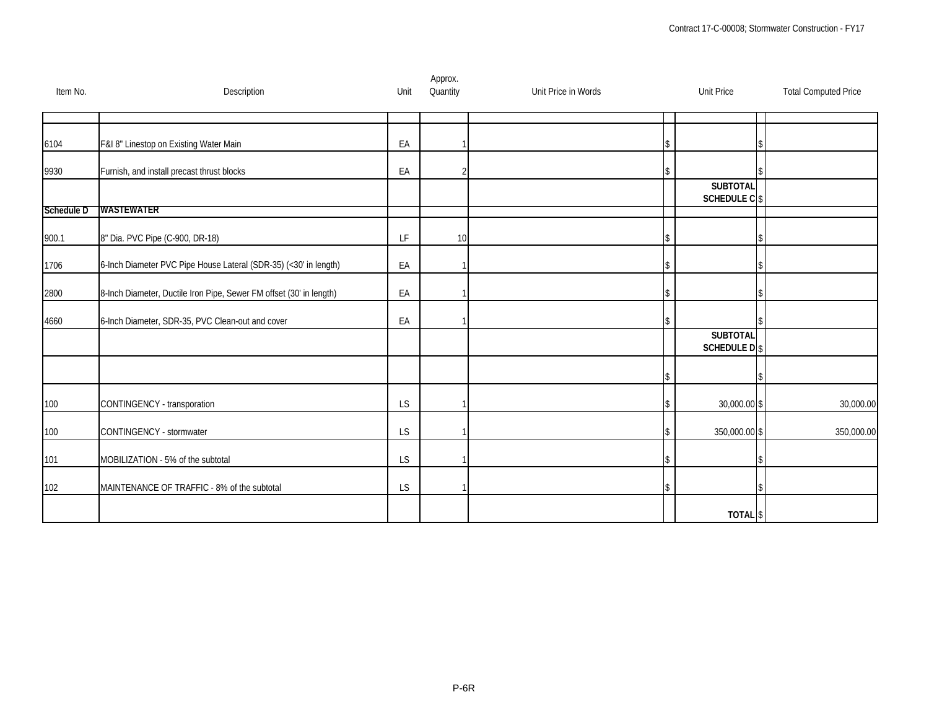| Item No.   | Description                                                         | Unit      | Approx.<br>Quantity | Unit Price in Words | <b>Unit Price</b>              | <b>Total Computed Price</b> |
|------------|---------------------------------------------------------------------|-----------|---------------------|---------------------|--------------------------------|-----------------------------|
|            |                                                                     |           |                     |                     |                                |                             |
| 6104       | F&I 8" Linestop on Existing Water Main                              | EA        |                     |                     |                                |                             |
| 9930       | Furnish, and install precast thrust blocks                          | EA        | $\overline{2}$      |                     |                                |                             |
|            |                                                                     |           |                     |                     | <b>SUBTOTAL</b><br>SCHEDULE CS |                             |
| Schedule D | WASIEWATER                                                          |           |                     |                     |                                |                             |
| 900.1      | 8" Dia. PVC Pipe (C-900, DR-18)                                     | LF        | 10                  |                     |                                |                             |
| 1706       | 6-Inch Diameter PVC Pipe House Lateral (SDR-35) (<30' in length)    | EA        |                     |                     |                                |                             |
| 2800       | 8-Inch Diameter, Ductile Iron Pipe, Sewer FM offset (30' in length) | EA        |                     |                     |                                |                             |
| 4660       | 6-Inch Diameter, SDR-35, PVC Clean-out and cover                    | EA        |                     |                     |                                |                             |
|            |                                                                     |           |                     |                     | <b>SUBTOTAL</b><br>SCHEDULE DS |                             |
|            |                                                                     |           |                     |                     |                                |                             |
| 100        | CONTINGENCY - transporation                                         | LS        |                     |                     | 30,000.00 \$                   | 30,000.00                   |
| 100        | CONTINGENCY - stormwater                                            | LS        |                     |                     | 350,000.00 \$                  | 350,000.00                  |
| 101        | MOBILIZATION - 5% of the subtotal                                   | LS        |                     |                     |                                |                             |
| 102        | MAINTENANCE OF TRAFFIC - 8% of the subtotal                         | <b>LS</b> |                     |                     |                                |                             |
|            |                                                                     |           |                     |                     | TOTAL <sup>\$</sup>            |                             |